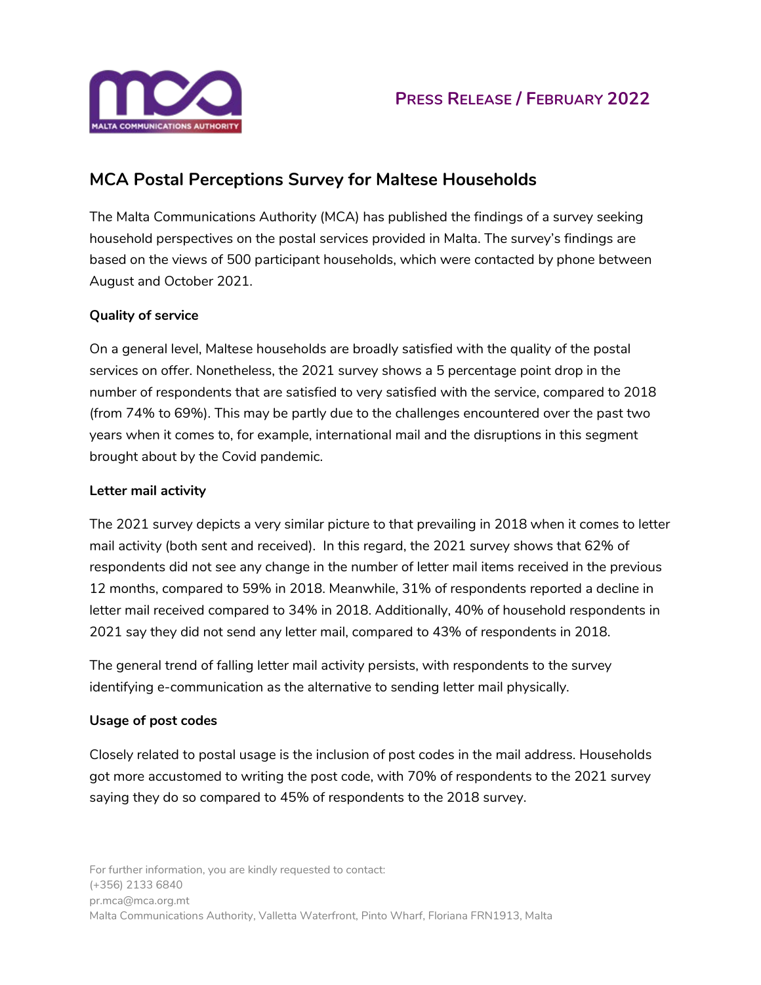



## **MCA Postal Perceptions Survey for Maltese Households**

The Malta Communications Authority (MCA) has published the findings of a survey seeking household perspectives on the postal services provided in Malta. The survey's findings are based on the views of 500 participant households, which were contacted by phone between August and October 2021.

### **Quality of service**

On a general level, Maltese households are broadly satisfied with the quality of the postal services on offer. Nonetheless, the 2021 survey shows a 5 percentage point drop in the number of respondents that are satisfied to very satisfied with the service, compared to 2018 (from 74% to 69%). This may be partly due to the challenges encountered over the past two years when it comes to, for example, international mail and the disruptions in this segment brought about by the Covid pandemic.

### **Letter mail activity**

The 2021 survey depicts a very similar picture to that prevailing in 2018 when it comes to letter mail activity (both sent and received). In this regard, the 2021 survey shows that 62% of respondents did not see any change in the number of letter mail items received in the previous 12 months, compared to 59% in 2018. Meanwhile, 31% of respondents reported a decline in letter mail received compared to 34% in 2018. Additionally, 40% of household respondents in 2021 say they did not send any letter mail, compared to 43% of respondents in 2018.

The general trend of falling letter mail activity persists, with respondents to the survey identifying e-communication as the alternative to sending letter mail physically.

### **Usage of post codes**

Closely related to postal usage is the inclusion of post codes in the mail address. Households got more accustomed to writing the post code, with 70% of respondents to the 2021 survey saying they do so compared to 45% of respondents to the 2018 survey.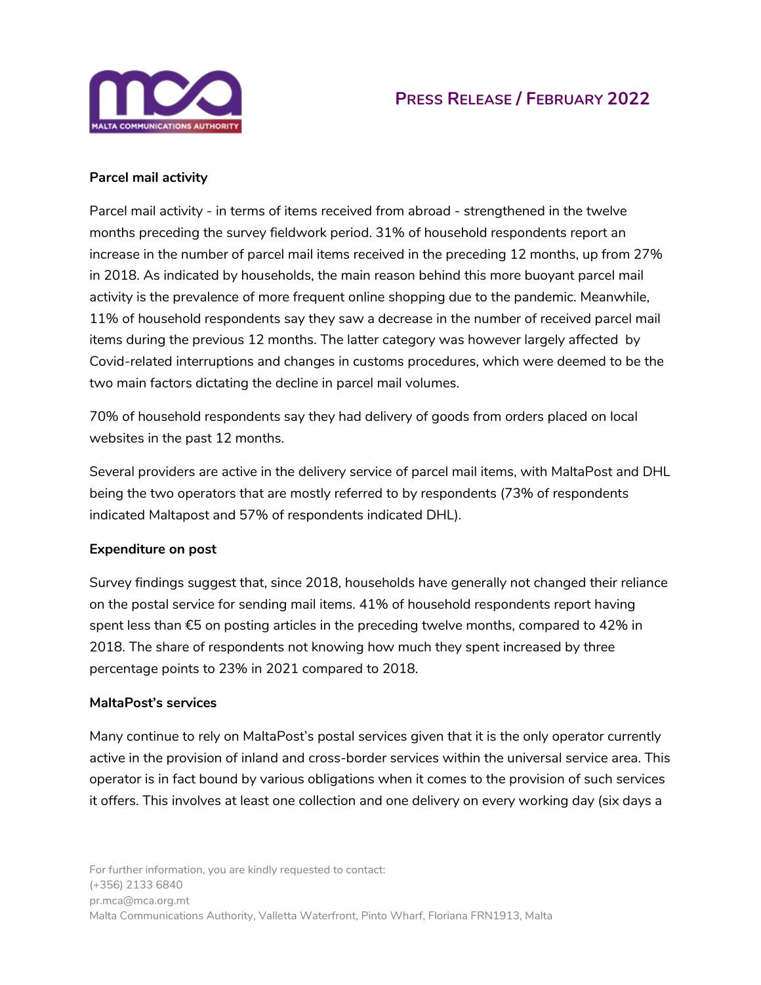

## **PRESS RELEASE / FEBRUARY 2022**

### **Parcel mail activity**

Parcel mail activity - in terms of items received from abroad - strengthened in the twelve months preceding the survey fieldwork period. 31% of household respondents report an increase in the number of parcel mail items received in the preceding 12 months, up from 27% in 2018. As indicated by households, the main reason behind this more buoyant parcel mail activity is the prevalence of more frequent online shopping due to the pandemic. Meanwhile, 11% of household respondents say they saw a decrease in the number of received parcel mail items during the previous 12 months. The latter category was however largely affected by Covid-related interruptions and changes in customs procedures, which were deemed to be the two main factors dictating the decline in parcel mail volumes.

70% of household respondents say they had delivery of goods from orders placed on local websites in the past 12 months.

Several providers are active in the delivery service of parcel mail items, with MaltaPost and DHL being the two operators that are mostly referred to by respondents (73% of respondents indicated Maltapost and 57% of respondents indicated DHL).

### **Expenditure on post**

Survey findings suggest that, since 2018, households have generally not changed their reliance on the postal service for sending mail items. 41% of household respondents report having spent less than €5 on posting articles in the preceding twelve months, compared to 42% in 2018. The share of respondents not knowing how much they spent increased by three percentage points to 23% in 2021 compared to 2018.

#### **MaltaPost's services**

Many continue to rely on MaltaPost's postal services given that it is the only operator currently active in the provision of inland and cross-border services within the universal service area. This operator is in fact bound by various obligations when it comes to the provision of such services it offers. This involves at least one collection and one delivery on every working day (six days a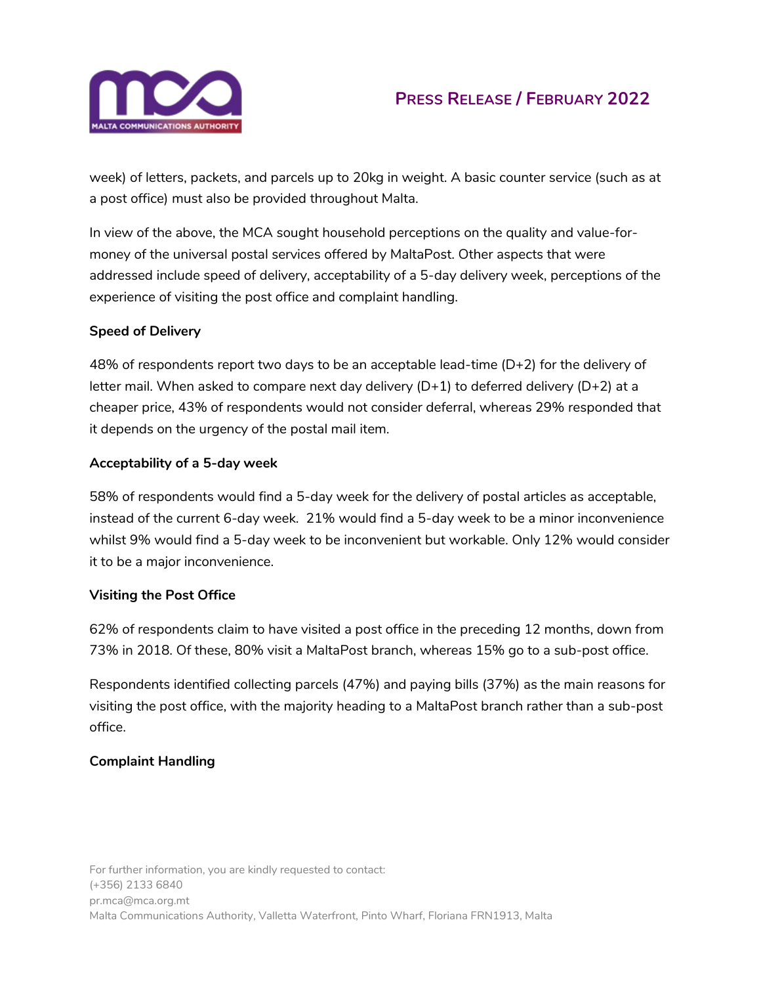

# **PRESS RELEASE / FEBRUARY 2022**

week) of letters, packets, and parcels up to 20kg in weight. A basic counter service (such as at a post office) must also be provided throughout Malta.

In view of the above, the MCA sought household perceptions on the quality and value-formoney of the universal postal services offered by MaltaPost. Other aspects that were addressed include speed of delivery, acceptability of a 5-day delivery week, perceptions of the experience of visiting the post office and complaint handling.

### **Speed of Delivery**

48% of respondents report two days to be an acceptable lead-time  $(D+2)$  for the delivery of letter mail. When asked to compare next day delivery  $(D+1)$  to deferred delivery  $(D+2)$  at a cheaper price, 43% of respondents would not consider deferral, whereas 29% responded that it depends on the urgency of the postal mail item.

### **Acceptability of a 5-day week**

58% of respondents would find a 5-day week for the delivery of postal articles as acceptable, instead of the current 6-day week. 21% would find a 5-day week to be a minor inconvenience whilst 9% would find a 5-day week to be inconvenient but workable. Only 12% would consider it to be a major inconvenience.

### **Visiting the Post Office**

62% of respondents claim to have visited a post office in the preceding 12 months, down from 73% in 2018. Of these, 80% visit a MaltaPost branch, whereas 15% go to a sub-post office.

Respondents identified collecting parcels (47%) and paying bills (37%) as the main reasons for visiting the post office, with the majority heading to a MaltaPost branch rather than a sub-post office.

### **Complaint Handling**